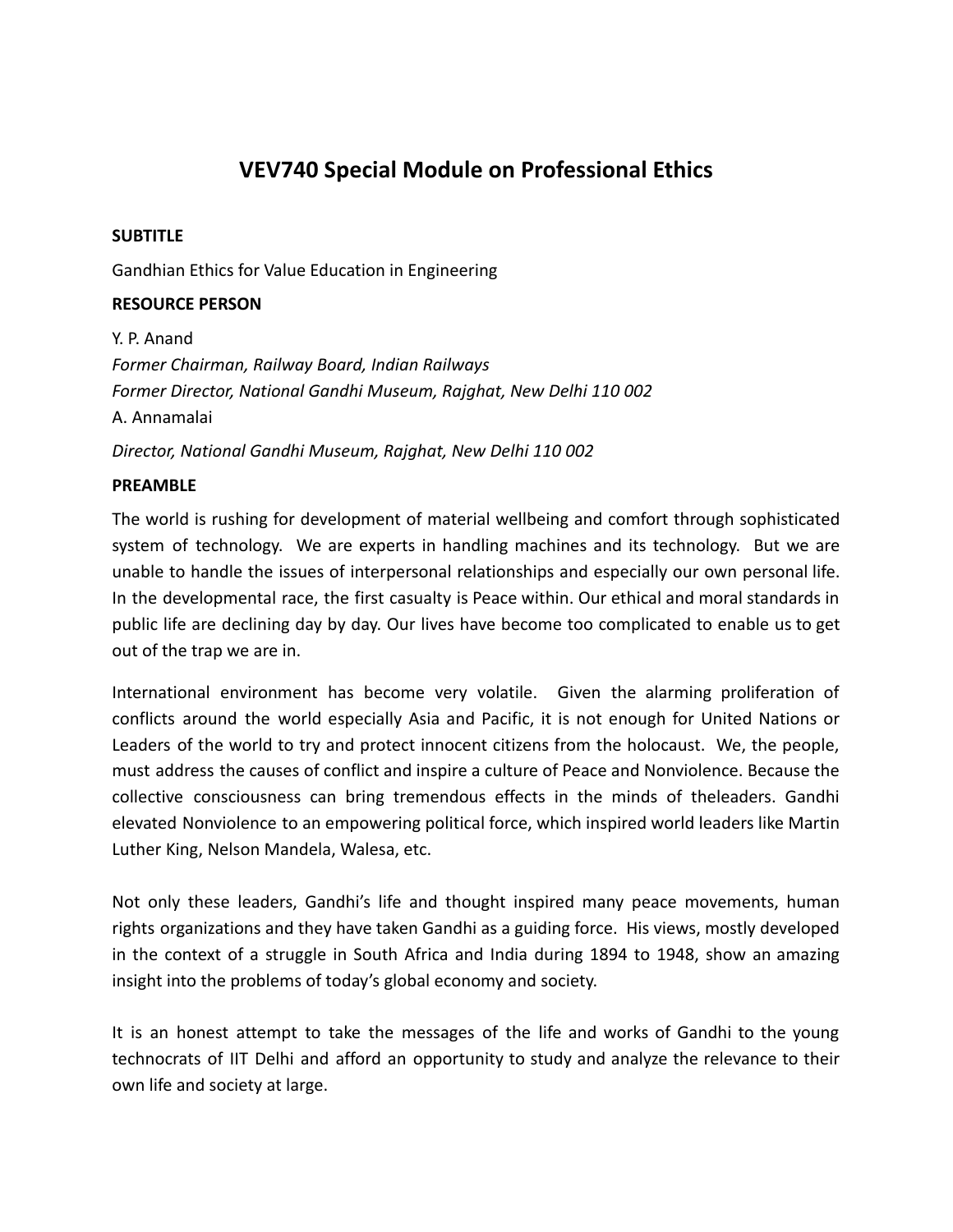# **VEV740 Special Module on Professional Ethics**

## **SUBTITLE**

Gandhian Ethics for Value Education in Engineering

## **RESOURCE PERSON**

Y. P. Anand *Former Chairman, Railway Board, Indian Railways Former Director, National Gandhi Museum, Rajghat, New Delhi 110 002* A. Annamalai *Director, National Gandhi Museum, Rajghat, New Delhi 110 002*

## **PREAMBLE**

The world is rushing for development of material wellbeing and comfort through sophisticated system of technology. We are experts in handling machines and its technology. But we are unable to handle the issues of interpersonal relationships and especially our own personal life. In the developmental race, the first casualty is Peace within. Our ethical and moral standards in public life are declining day by day. Our lives have become too complicated to enable us to get out of the trap we are in.

International environment has become very volatile. Given the alarming proliferation of conflicts around the world especially Asia and Pacific, it is not enough for United Nations or Leaders of the world to try and protect innocent citizens from the holocaust. We, the people, must address the causes of conflict and inspire a culture of Peace and Nonviolence. Because the collective consciousness can bring tremendous effects in the minds of theleaders. Gandhi elevated Nonviolence to an empowering political force, which inspired world leaders like Martin Luther King, Nelson Mandela, Walesa, etc.

Not only these leaders, Gandhi's life and thought inspired many peace movements, human rights organizations and they have taken Gandhi as a guiding force. His views, mostly developed in the context of a struggle in South Africa and India during 1894 to 1948, show an amazing insight into the problems of today's global economy and society.

It is an honest attempt to take the messages of the life and works of Gandhi to the young technocrats of IIT Delhi and afford an opportunity to study and analyze the relevance to their own life and society at large.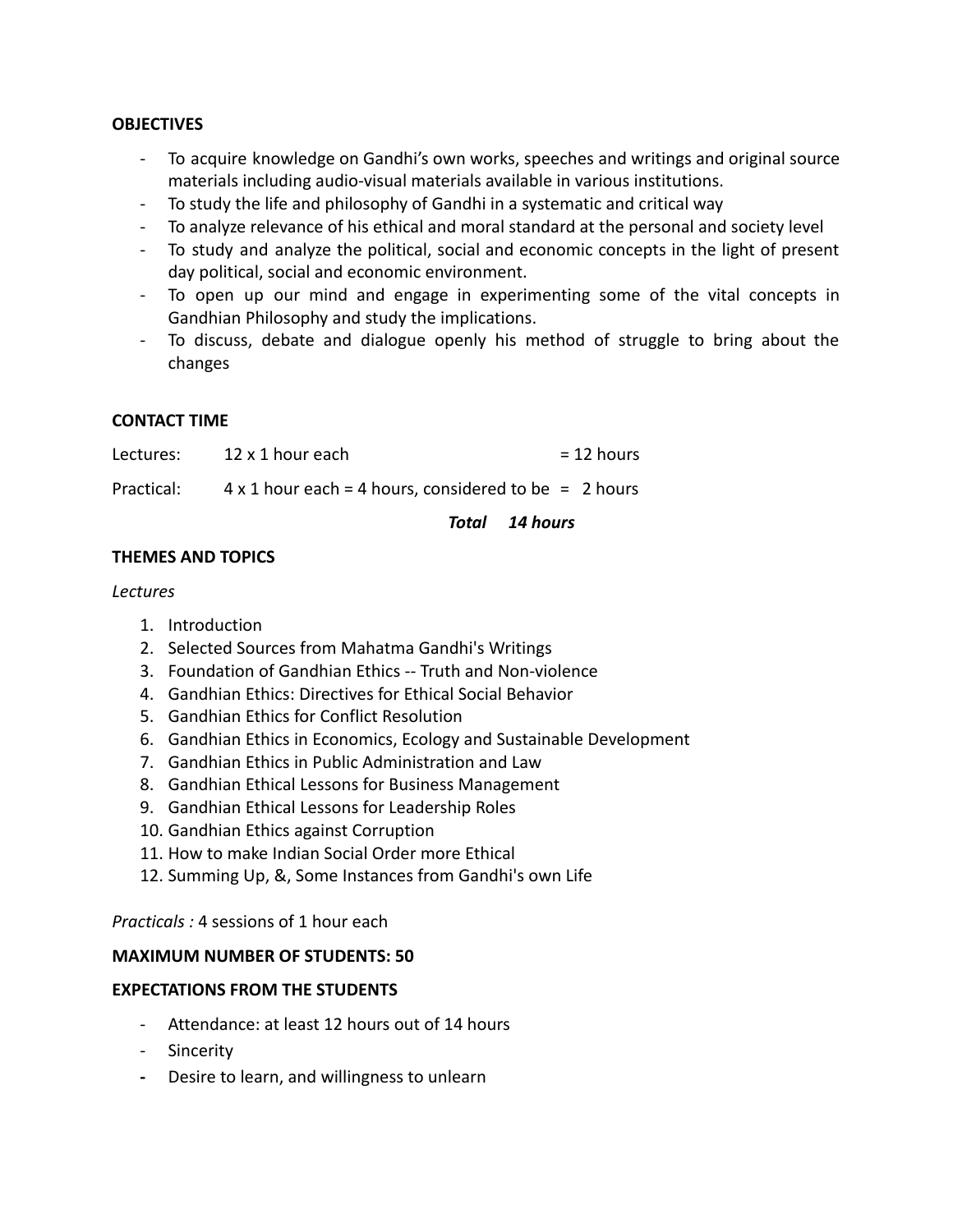### **OBJECTIVES**

- To acquire knowledge on Gandhi's own works, speeches and writings and original source materials including audio-visual materials available in various institutions.
- To study the life and philosophy of Gandhi in a systematic and critical way
- To analyze relevance of his ethical and moral standard at the personal and society level
- To study and analyze the political, social and economic concepts in the light of present day political, social and economic environment.
- To open up our mind and engage in experimenting some of the vital concepts in Gandhian Philosophy and study the implications.
- To discuss, debate and dialogue openly his method of struggle to bring about the changes

## **CONTACT TIME**

| Lectures: | 12 x 1 hour each | $= 12$ hours |
|-----------|------------------|--------------|
|-----------|------------------|--------------|

Practical:  $4 \times 1$  hour each = 4 hours, considered to be = 2 hours

## *Total 14 hours*

## **THEMES AND TOPICS**

#### *Lectures*

- 1. Introduction
- 2. Selected Sources from Mahatma Gandhi's Writings
- 3. Foundation of Gandhian Ethics -- Truth and Non-violence
- 4. Gandhian Ethics: Directives for Ethical Social Behavior
- 5. Gandhian Ethics for Conflict Resolution
- 6. Gandhian Ethics in Economics, Ecology and Sustainable Development
- 7. Gandhian Ethics in Public Administration and Law
- 8. Gandhian Ethical Lessons for Business Management
- 9. Gandhian Ethical Lessons for Leadership Roles
- 10. Gandhian Ethics against Corruption
- 11. How to make Indian Social Order more Ethical
- 12. Summing Up, &, Some Instances from Gandhi's own Life

*Practicals :* 4 sessions of 1 hour each

## **MAXIMUM NUMBER OF STUDENTS: 50**

## **EXPECTATIONS FROM THE STUDENTS**

- Attendance: at least 12 hours out of 14 hours
- Sincerity
- **-** Desire to learn, and willingness to unlearn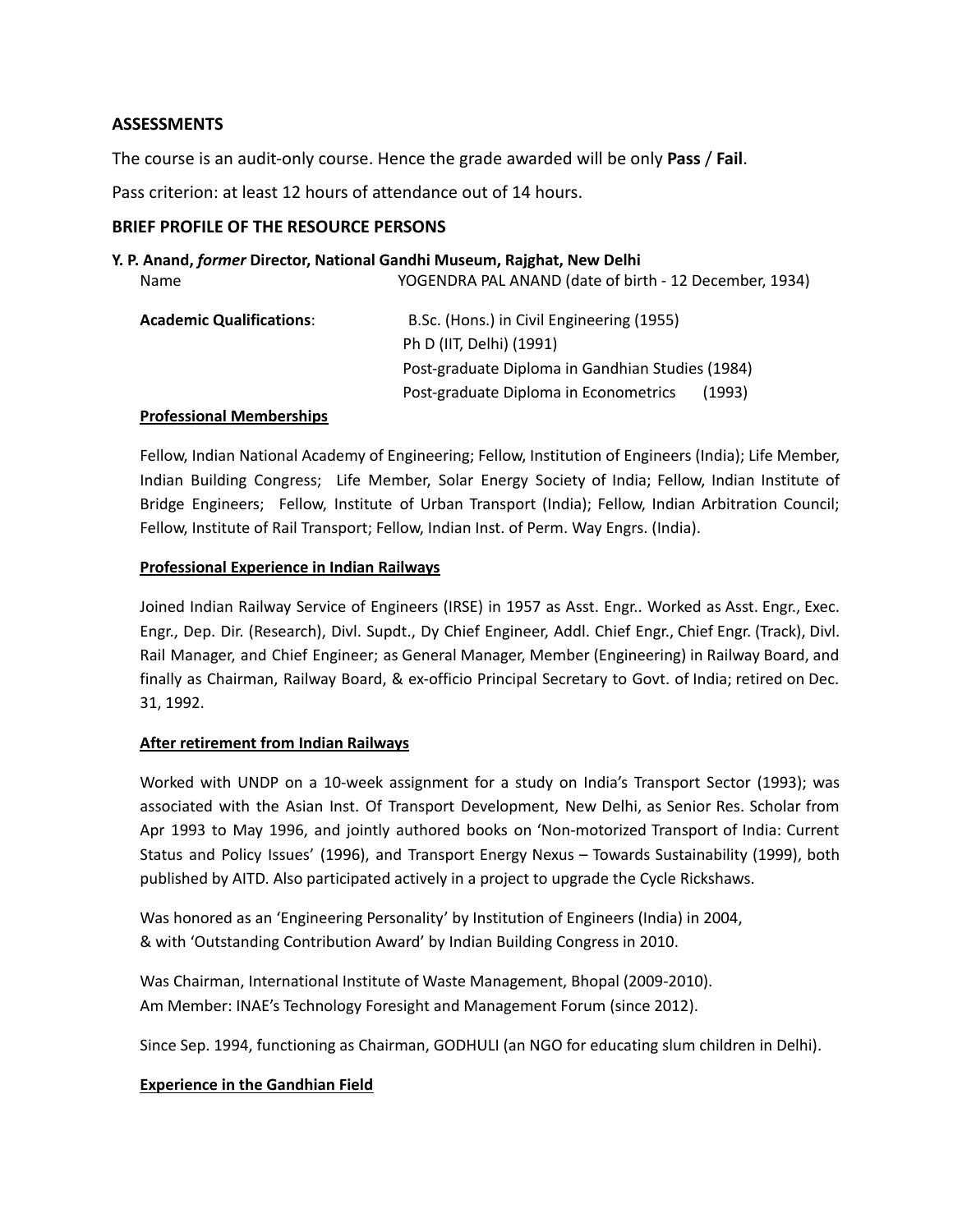## **ASSESSMENTS**

The course is an audit-only course. Hence the grade awarded will be only **Pass** / **Fail**.

Pass criterion: at least 12 hours of attendance out of 14 hours.

## **BRIEF PROFILE OF THE RESOURCE PERSONS**

#### **Y. P. Anand,** *former* **Director, National Gandhi Museum, Rajghat, New Delhi**

| Name                            | YOGENDRA PAL ANAND (date of birth - 12 December, 1934) |
|---------------------------------|--------------------------------------------------------|
| <b>Academic Qualifications:</b> | B.Sc. (Hons.) in Civil Engineering (1955)              |
|                                 | Ph D (IIT, Delhi) (1991)                               |
|                                 | Post-graduate Diploma in Gandhian Studies (1984)       |
|                                 | Post-graduate Diploma in Econometrics<br>(1993)        |

#### **Professional Memberships**

Fellow, Indian National Academy of Engineering; Fellow, Institution of Engineers (India); Life Member, Indian Building Congress; Life Member, Solar Energy Society of India; Fellow, Indian Institute of Bridge Engineers; Fellow, Institute of Urban Transport (India); Fellow, Indian Arbitration Council; Fellow, Institute of Rail Transport; Fellow, Indian Inst. of Perm. Way Engrs. (India).

#### **Professional Experience in Indian Railways**

Joined Indian Railway Service of Engineers (IRSE) in 1957 as Asst. Engr.. Worked as Asst. Engr., Exec. Engr., Dep. Dir. (Research), Divl. Supdt., Dy Chief Engineer, Addl. Chief Engr., Chief Engr. (Track), Divl. Rail Manager, and Chief Engineer; as General Manager, Member (Engineering) in Railway Board, and finally as Chairman, Railway Board, & ex-officio Principal Secretary to Govt. of India; retired on Dec. 31, 1992.

#### **After retirement from Indian Railways**

Worked with UNDP on a 10-week assignment for a study on India's Transport Sector (1993); was associated with the Asian Inst. Of Transport Development, New Delhi, as Senior Res. Scholar from Apr 1993 to May 1996, and jointly authored books on 'Non-motorized Transport of India: Current Status and Policy Issues' (1996), and Transport Energy Nexus – Towards Sustainability (1999), both published by AITD. Also participated actively in a project to upgrade the Cycle Rickshaws.

Was honored as an 'Engineering Personality' by Institution of Engineers (India) in 2004, & with 'Outstanding Contribution Award' by Indian Building Congress in 2010.

Was Chairman, International Institute of Waste Management, Bhopal (2009-2010). Am Member: INAE's Technology Foresight and Management Forum (since 2012).

Since Sep. 1994, functioning as Chairman, GODHULI (an NGO for educating slum children in Delhi).

#### **Experience in the Gandhian Field**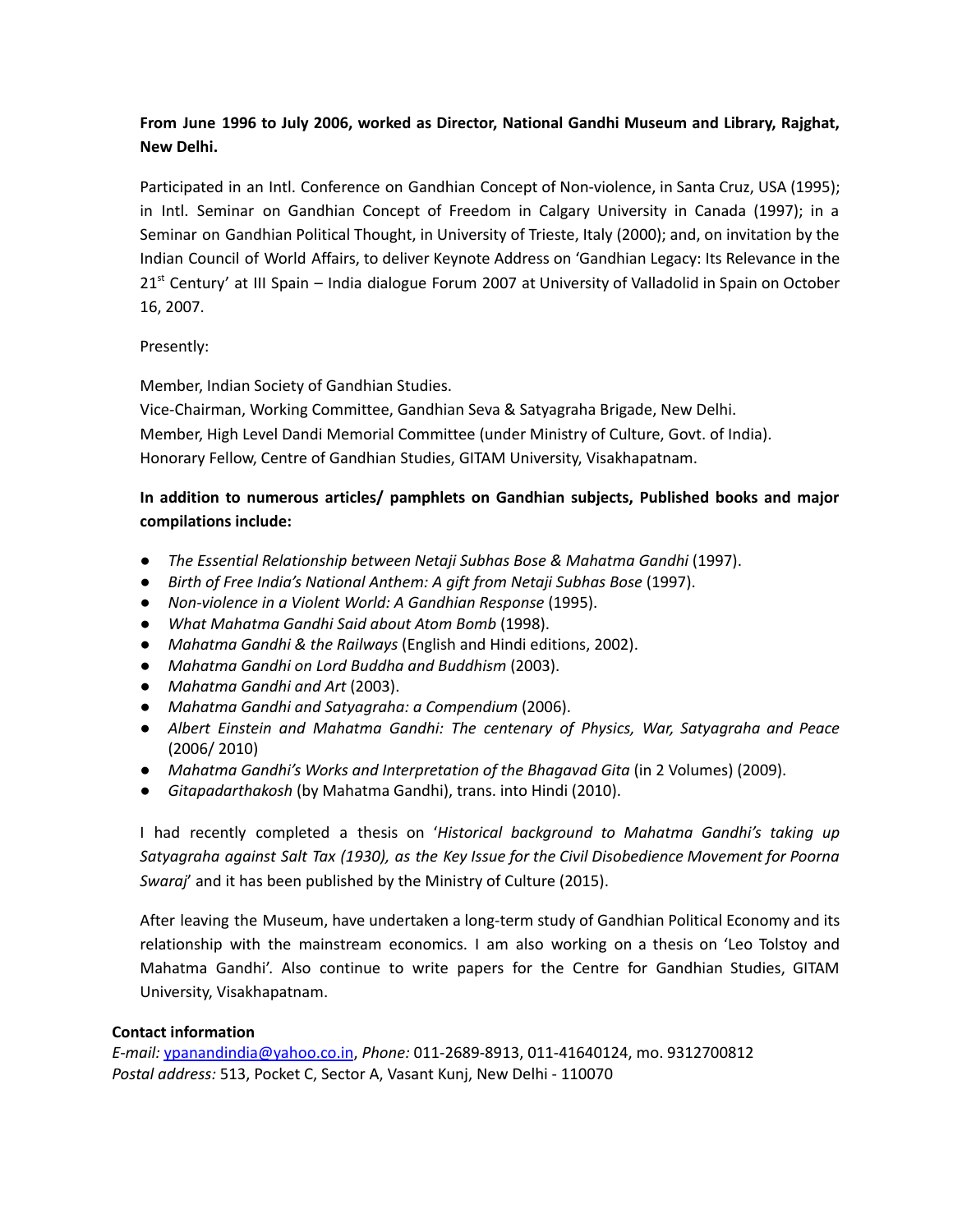# **From June 1996 to July 2006, worked as Director, National Gandhi Museum and Library, Rajghat, New Delhi.**

Participated in an Intl. Conference on Gandhian Concept of Non-violence, in Santa Cruz, USA (1995); in Intl. Seminar on Gandhian Concept of Freedom in Calgary University in Canada (1997); in a Seminar on Gandhian Political Thought, in University of Trieste, Italy (2000); and, on invitation by the Indian Council of World Affairs, to deliver Keynote Address on 'Gandhian Legacy: Its Relevance in the 21<sup>st</sup> Century' at III Spain – India dialogue Forum 2007 at University of Valladolid in Spain on October 16, 2007.

#### Presently:

Member, Indian Society of Gandhian Studies.

Vice-Chairman, Working Committee, Gandhian Seva & Satyagraha Brigade, New Delhi. Member, High Level Dandi Memorial Committee (under Ministry of Culture, Govt. of India). Honorary Fellow, Centre of Gandhian Studies, GITAM University, Visakhapatnam.

## **In addition to numerous articles/ pamphlets on Gandhian subjects, Published books and major compilations include:**

- *The Essential Relationship between Netaji Subhas Bose & Mahatma Gandhi* (1997).
- *Birth of Free India's National Anthem: A gift from Netaji Subhas Bose* (1997).
- *Non-violence in a Violent World: A Gandhian Response* (1995).
- *What Mahatma Gandhi Said about Atom Bomb* (1998).
- *Mahatma Gandhi & the Railways* (English and Hindi editions, 2002).
- *Mahatma Gandhi on Lord Buddha and Buddhism* (2003).
- *Mahatma Gandhi and Art* (2003).
- *Mahatma Gandhi and Satyagraha: a Compendium* (2006).
- *Albert Einstein and Mahatma Gandhi: The centenary of Physics, War, Satyagraha and Peace* (2006/ 2010)
- *Mahatma Gandhi's Works and Interpretation of the Bhagavad Gita* (in 2 Volumes) (2009).
- *Gitapadarthakosh* (by Mahatma Gandhi), trans. into Hindi (2010).

I had recently completed a thesis on '*Historical background to Mahatma Gandhi's taking up Satyagraha against Salt Tax (1930), as the Key Issue for the Civil Disobedience Movement for Poorna Swaraj*' and it has been published by the Ministry of Culture (2015).

After leaving the Museum, have undertaken a long-term study of Gandhian Political Economy and its relationship with the mainstream economics. I am also working on a thesis on 'Leo Tolstoy and Mahatma Gandhi'. Also continue to write papers for the Centre for Gandhian Studies, GITAM University, Visakhapatnam.

#### **Contact information**

*E-mail:* [ypanandindia@yahoo.co.in](mailto:ypanandindia@yahoo.co.in), *Phone:* 011-2689-8913, 011-41640124, mo. 9312700812 *Postal address:* 513, Pocket C, Sector A, Vasant Kunj, New Delhi - 110070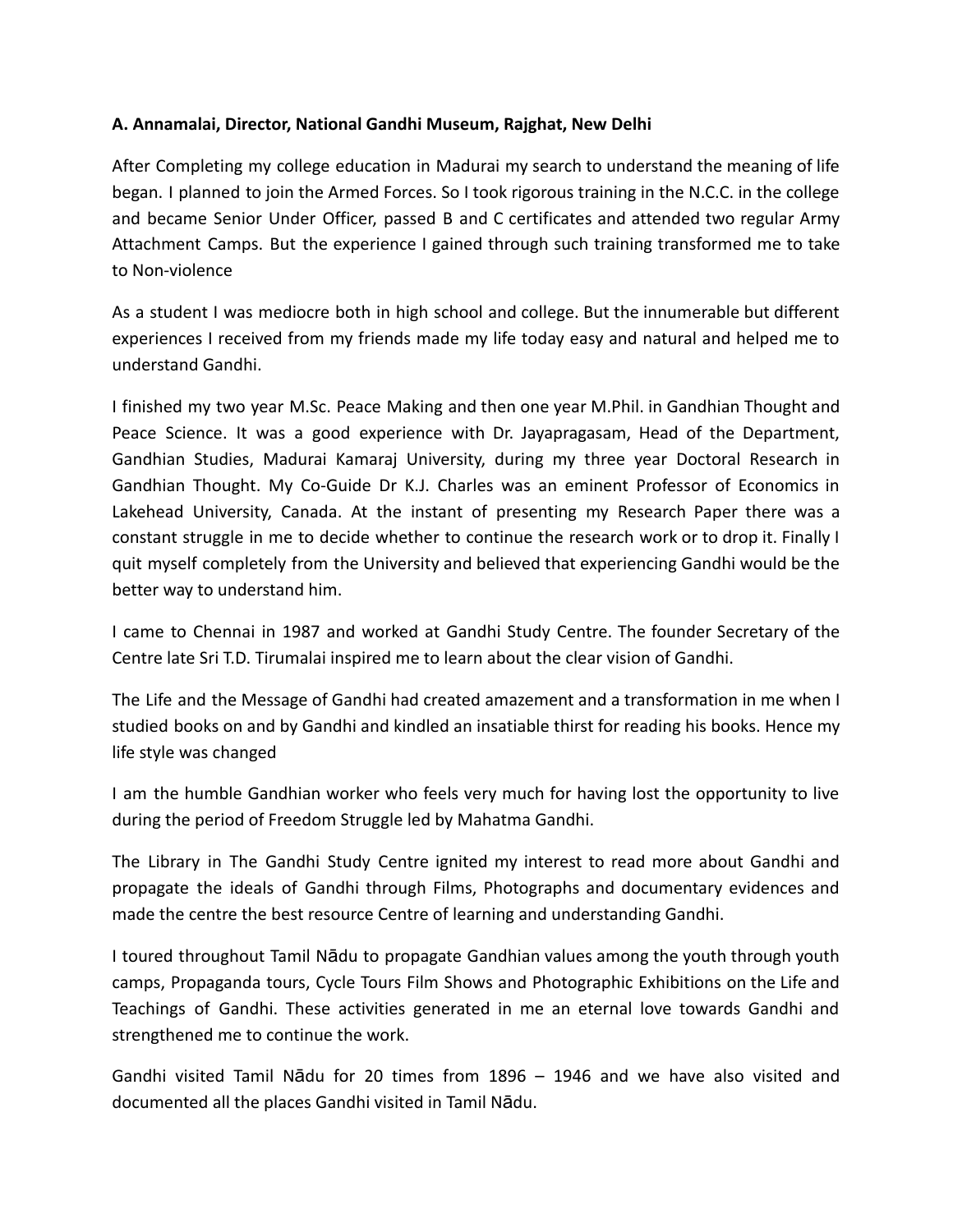## **A. Annamalai, Director, National Gandhi Museum, Rajghat, New Delhi**

After Completing my college education in Madurai my search to understand the meaning of life began. I planned to join the Armed Forces. So I took rigorous training in the N.C.C. in the college and became Senior Under Officer, passed B and C certificates and attended two regular Army Attachment Camps. But the experience I gained through such training transformed me to take to Non-violence

As a student I was mediocre both in high school and college. But the innumerable but different experiences I received from my friends made my life today easy and natural and helped me to understand Gandhi.

I finished my two year M.Sc. Peace Making and then one year M.Phil. in Gandhian Thought and Peace Science. It was a good experience with Dr. Jayapragasam, Head of the Department, Gandhian Studies, Madurai Kamaraj University, during my three year Doctoral Research in Gandhian Thought. My Co-Guide Dr K.J. Charles was an eminent Professor of Economics in Lakehead University, Canada. At the instant of presenting my Research Paper there was a constant struggle in me to decide whether to continue the research work or to drop it. Finally I quit myself completely from the University and believed that experiencing Gandhi would be the better way to understand him.

I came to Chennai in 1987 and worked at Gandhi Study Centre. The founder Secretary of the Centre late Sri T.D. Tirumalai inspired me to learn about the clear vision of Gandhi.

The Life and the Message of Gandhi had created amazement and a transformation in me when I studied books on and by Gandhi and kindled an insatiable thirst for reading his books. Hence my life style was changed

I am the humble Gandhian worker who feels very much for having lost the opportunity to live during the period of Freedom Struggle led by Mahatma Gandhi.

The Library in The Gandhi Study Centre ignited my interest to read more about Gandhi and propagate the ideals of Gandhi through Films, Photographs and documentary evidences and made the centre the best resource Centre of learning and understanding Gandhi.

I toured throughout Tamil Nādu to propagate Gandhian values among the youth through youth camps, Propaganda tours, Cycle Tours Film Shows and Photographic Exhibitions on the Life and Teachings of Gandhi. These activities generated in me an eternal love towards Gandhi and strengthened me to continue the work.

Gandhi visited Tamil Nādu for 20 times from 1896 – 1946 and we have also visited and documented all the places Gandhi visited in Tamil Nādu.